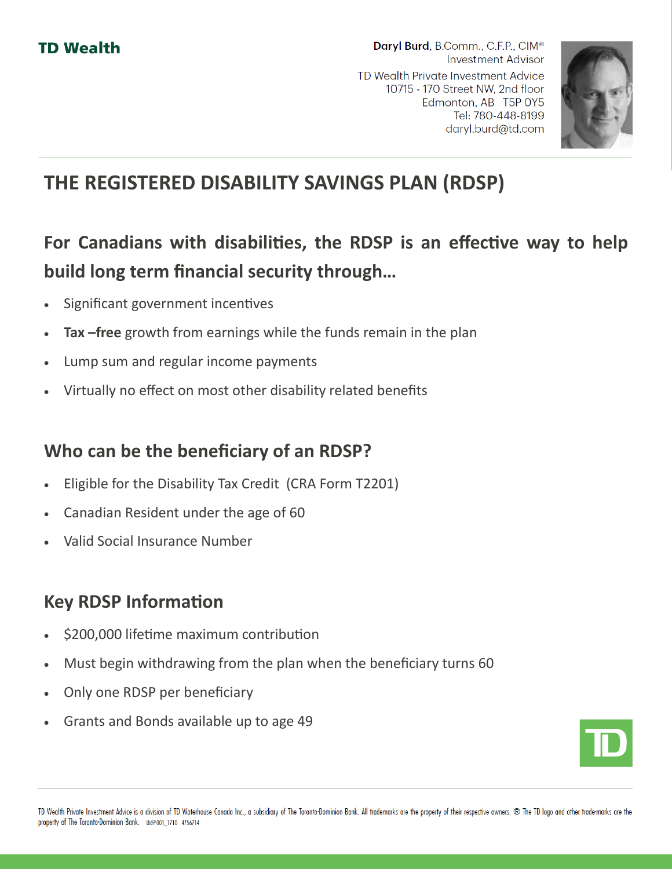

# **THE REGISTERED DISABILITY SAVINGS PLAN (RDSP)**

## **For Canadians with disabilities, the RDSP is an effective way to help build long term financial security through…**

- Significant government incentives
- **Tax –free** growth from earnings while the funds remain in the plan
- Lump sum and regular income payments
- Virtually no effect on most other disability related benefits

### **Who can be the beneficiary of an RDSP?**

- Eligible for the Disability Tax Credit (CRA Form T2201)
- Canadian Resident under the age of 60
- Valid Social Insurance Number

## **Key RDSP Information**

- \$200,000 lifetime maximum contribution
- Must begin withdrawing from the plan when the beneficiary turns 60
- Only one RDSP per beneficiary
- Grants and Bonds available up to age 49